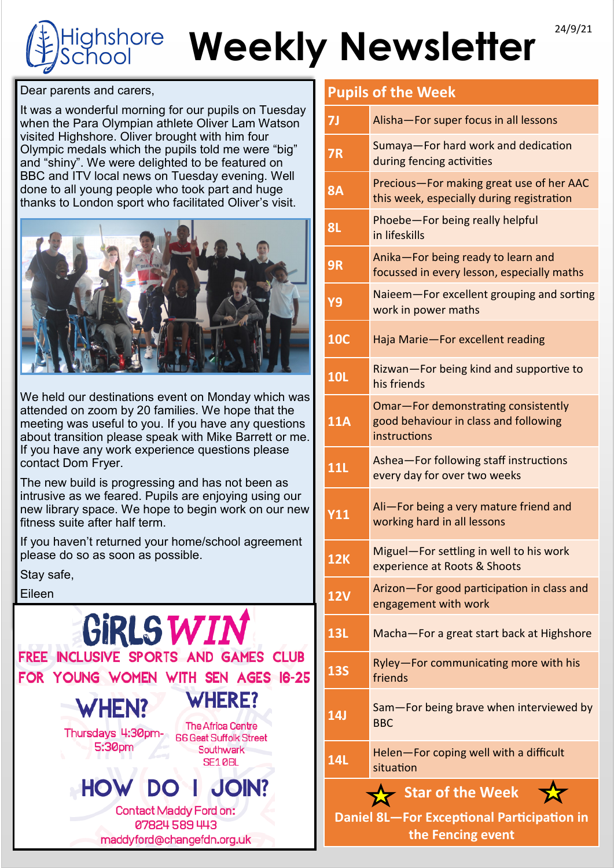# Weekly Newsletter<sup>24/9/21</sup> ighshore chool

Dear parents and carers,

It was a wonderful morning for our pupils on Tuesday when the Para Olympian athlete Oliver Lam Watson visited Highshore. Oliver brought with him four Olympic medals which the pupils told me were "big" and "shiny". We were delighted to be featured on BBC and ITV local news on Tuesday evening. Well done to all young people who took part and huge thanks to London sport who facilitated Oliver's visit.



We held our destinations event on Monday which was attended on zoom by 20 families. We hope that the meeting was useful to you. If you have any questions about transition please speak with Mike Barrett or me. If you have any work experience questions please contact Dom Fryer.

The new build is progressing and has not been as intrusive as we feared. Pupils are enjoying using our new library space. We hope to begin work on our new fitness suite after half term.

If you haven't returned your home/school agreement please do so as soon as possible.

Stay safe,

Eileen



# **Pupils of the Week**

| 7J                                                                                  | Alisha-For super focus in all lessons                                                        |
|-------------------------------------------------------------------------------------|----------------------------------------------------------------------------------------------|
| <b>7R</b>                                                                           | Sumaya-For hard work and dedication<br>during fencing activities                             |
| <b>8A</b>                                                                           | Precious-For making great use of her AAC<br>this week, especially during registration        |
| 8L                                                                                  | Phoebe-For being really helpful<br>in lifeskills                                             |
| 9R                                                                                  | Anika-For being ready to learn and<br>focussed in every lesson, especially maths             |
| Y9                                                                                  | Naieem-For excellent grouping and sorting<br>work in power maths                             |
| <b>10C</b>                                                                          | Haja Marie-For excellent reading                                                             |
| <b>10L</b>                                                                          | Rizwan-For being kind and supportive to<br>his friends                                       |
| <b>11A</b>                                                                          | Omar-For demonstrating consistently<br>good behaviour in class and following<br>instructions |
| <b>11L</b>                                                                          | Ashea-For following staff instructions<br>every day for over two weeks                       |
| <b>Y11</b>                                                                          | Ali-For being a very mature friend and<br>working hard in all lessons                        |
| <b>12K</b>                                                                          | Miguel-For settling in well to his work<br>experience at Roots & Shoots                      |
| <b>12V</b>                                                                          | Arizon-For good participation in class and<br>engagement with work                           |
| 13L                                                                                 | Macha-For a great start back at Highshore                                                    |
| <b>13S</b>                                                                          | Ryley-For communicating more with his<br>friends                                             |
| <b>14J</b>                                                                          | Sam-For being brave when interviewed by<br><b>BBC</b>                                        |
| <b>14L</b>                                                                          | Helen-For coping well with a difficult<br>situation                                          |
| Star of the Week<br>Daniel 8L-For Exceptional Participation in<br>the Fencing event |                                                                                              |